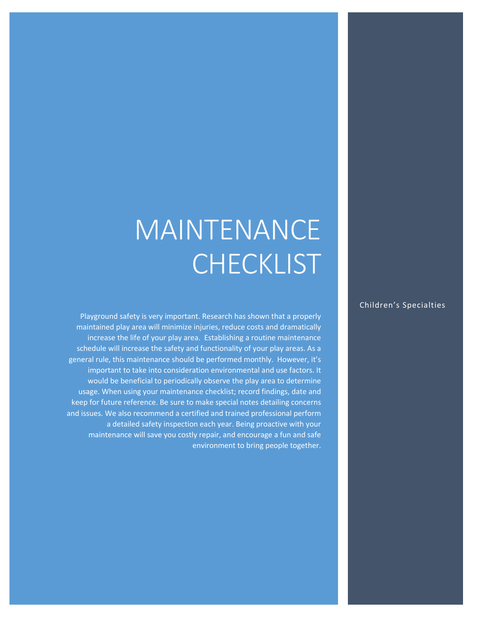# MAINTENANCE **CHECKLIST**

Playground safety is very important. Research has shown that a properly maintained play area will minimize injuries, reduce costs and dramatically increase the life of your play area. Establishing a routine maintenance schedule will increase the safety and functionality of your play areas. As a general rule, this maintenance should be performed monthly. However, it's important to take into consideration environmental and use factors. It would be beneficial to periodically observe the play area to determine usage. When using your maintenance checklist; record findings, date and keep for future reference. Be sure to make special notes detailing concerns and issues. We also recommend a certified and trained professional perform a detailed safety inspection each year. Being proactive with your maintenance will save you costly repair, and encourage a fun and safe environment to bring people together.

#### Children's Specialties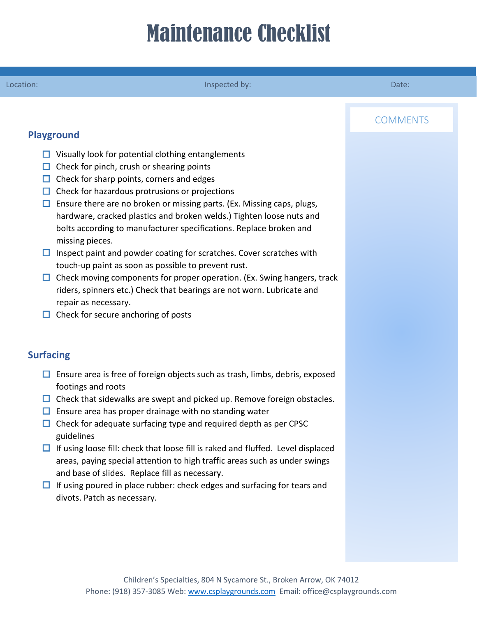## Maintenance Checklist

#### Location: Inspected by: Inspected by: Inspected by: Inspected by: Inspected by: Inspected by: Inspected by: Inspected by: Inspected by: Inspected by: Inspected by: Inspected by: Inspected by: Inspected by: Inspected by: In

### **COMMENTS**

#### **Playground**

- $\Box$  Visually look for potential clothing entanglements
- $\Box$  Check for pinch, crush or shearing points
- $\Box$  Check for sharp points, corners and edges
- $\Box$  Check for hazardous protrusions or projections
- $\Box$  Ensure there are no broken or missing parts. (Ex. Missing caps, plugs, hardware, cracked plastics and broken welds.) Tighten loose nuts and bolts according to manufacturer specifications. Replace broken and missing pieces.
- $\Box$  Inspect paint and powder coating for scratches. Cover scratches with touch-up paint as soon as possible to prevent rust.
- $\Box$  Check moving components for proper operation. (Ex. Swing hangers, track riders, spinners etc.) Check that bearings are not worn. Lubricate and repair as necessary.
- $\Box$  Check for secure anchoring of posts

### **Surfacing**

- $\Box$  Ensure area is free of foreign objects such as trash, limbs, debris, exposed footings and roots
- $\Box$  Check that sidewalks are swept and picked up. Remove foreign obstacles.
- $\Box$  Ensure area has proper drainage with no standing water
- $\Box$  Check for adequate surfacing type and required depth as per CPSC guidelines
- $\Box$  If using loose fill: check that loose fill is raked and fluffed. Level displaced areas, paying special attention to high traffic areas such as under swings and base of slides. Replace fill as necessary.
- $\Box$  If using poured in place rubber: check edges and surfacing for tears and divots. Patch as necessary.